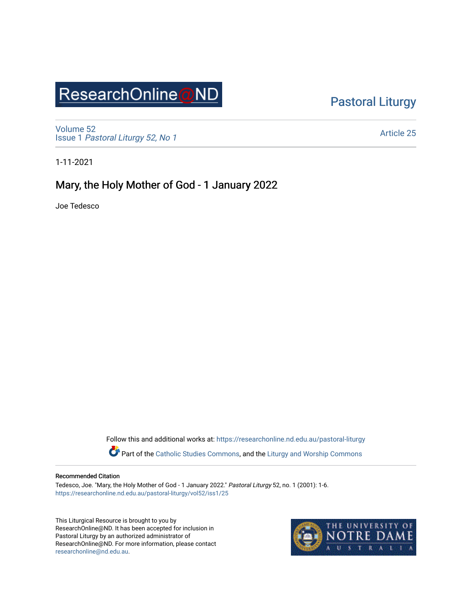# ResearchOnline@ND

[Pastoral Liturgy](https://researchonline.nd.edu.au/pastoral-liturgy) 

[Volume 52](https://researchonline.nd.edu.au/pastoral-liturgy/vol52) Issue 1 [Pastoral Liturgy 52, No 1](https://researchonline.nd.edu.au/pastoral-liturgy/vol52/iss1)

[Article 25](https://researchonline.nd.edu.au/pastoral-liturgy/vol52/iss1/25) 

1-11-2021

### Mary, the Holy Mother of God - 1 January 2022

Joe Tedesco

Follow this and additional works at: [https://researchonline.nd.edu.au/pastoral-liturgy](https://researchonline.nd.edu.au/pastoral-liturgy?utm_source=researchonline.nd.edu.au%2Fpastoral-liturgy%2Fvol52%2Fiss1%2F25&utm_medium=PDF&utm_campaign=PDFCoverPages)

Part of the [Catholic Studies Commons,](http://network.bepress.com/hgg/discipline/1294?utm_source=researchonline.nd.edu.au%2Fpastoral-liturgy%2Fvol52%2Fiss1%2F25&utm_medium=PDF&utm_campaign=PDFCoverPages) and the Liturgy and Worship Commons

#### Recommended Citation

Tedesco, Joe. "Mary, the Holy Mother of God - 1 January 2022." Pastoral Liturgy 52, no. 1 (2001): 1-6. [https://researchonline.nd.edu.au/pastoral-liturgy/vol52/iss1/25](https://researchonline.nd.edu.au/pastoral-liturgy/vol52/iss1/25?utm_source=researchonline.nd.edu.au%2Fpastoral-liturgy%2Fvol52%2Fiss1%2F25&utm_medium=PDF&utm_campaign=PDFCoverPages)

This Liturgical Resource is brought to you by ResearchOnline@ND. It has been accepted for inclusion in Pastoral Liturgy by an authorized administrator of ResearchOnline@ND. For more information, please contact [researchonline@nd.edu.au.](mailto:researchonline@nd.edu.au)

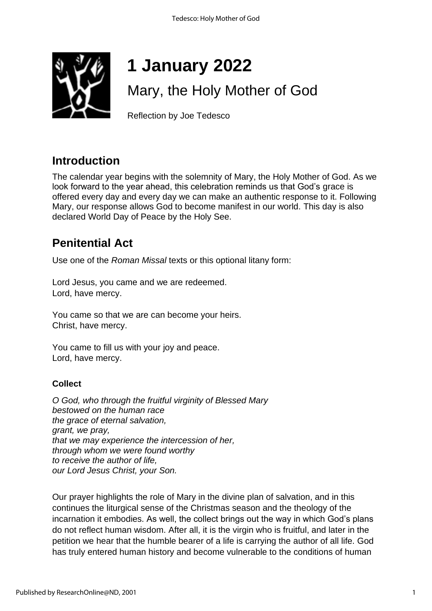

# **1 January 2022**

## Mary, the Holy Mother of God

Reflection by Joe Tedesco

### **Introduction**

The calendar year begins with the solemnity of Mary, the Holy Mother of God. As we look forward to the year ahead, this celebration reminds us that God's grace is offered every day and every day we can make an authentic response to it. Following Mary, our response allows God to become manifest in our world. This day is also declared World Day of Peace by the Holy See.

### **Penitential Act**

Use one of the *Roman Missal* texts or this optional litany form:

Lord Jesus, you came and we are redeemed. Lord, have mercy.

You came so that we are can become your heirs. Christ, have mercy.

You came to fill us with your joy and peace. Lord, have mercy.

### **Collect**

*O God, who through the fruitful virginity of Blessed Mary bestowed on the human race the grace of eternal salvation, grant, we pray, that we may experience the intercession of her, through whom we were found worthy to receive the author of life, our Lord Jesus Christ, your Son.* 

Our prayer highlights the role of Mary in the divine plan of salvation, and in this continues the liturgical sense of the Christmas season and the theology of the incarnation it embodies. As well, the collect brings out the way in which God's plans do not reflect human wisdom. After all, it is the virgin who is fruitful, and later in the petition we hear that the humble bearer of a life is carrying the author of all life. God has truly entered human history and become vulnerable to the conditions of human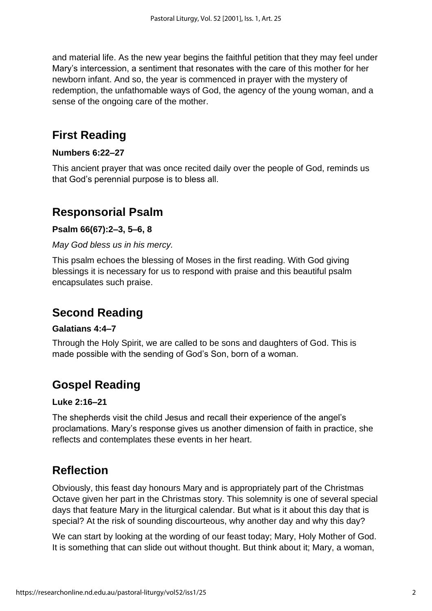and material life. As the new year begins the faithful petition that they may feel under Mary's intercession, a sentiment that resonates with the care of this mother for her newborn infant. And so, the year is commenced in prayer with the mystery of redemption, the unfathomable ways of God, the agency of the young woman, and a sense of the ongoing care of the mother.

### **First Reading**

#### **Numbers 6:22–27**

This ancient prayer that was once recited daily over the people of God, reminds us that God's perennial purpose is to bless all.

### **Responsorial Psalm**

#### **Psalm 66(67):2–3, 5–6, 8**

#### *May God bless us in his mercy.*

This psalm echoes the blessing of Moses in the first reading. With God giving blessings it is necessary for us to respond with praise and this beautiful psalm encapsulates such praise.

### **Second Reading**

#### **Galatians 4:4–7**

Through the Holy Spirit, we are called to be sons and daughters of God. This is made possible with the sending of God's Son, born of a woman.

### **Gospel Reading**

#### **Luke 2:16–21**

The shepherds visit the child Jesus and recall their experience of the angel's proclamations. Mary's response gives us another dimension of faith in practice, she reflects and contemplates these events in her heart.

### **Reflection**

Obviously, this feast day honours Mary and is appropriately part of the Christmas Octave given her part in the Christmas story. This solemnity is one of several special days that feature Mary in the liturgical calendar. But what is it about this day that is special? At the risk of sounding discourteous, why another day and why this day?

We can start by looking at the wording of our feast today; Mary, Holy Mother of God. It is something that can slide out without thought. But think about it; Mary, a woman,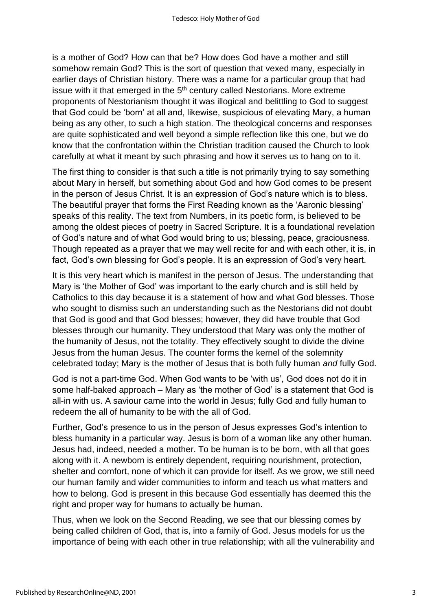is a mother of God? How can that be? How does God have a mother and still somehow remain God? This is the sort of question that vexed many, especially in earlier days of Christian history. There was a name for a particular group that had issue with it that emerged in the  $5<sup>th</sup>$  century called Nestorians. More extreme proponents of Nestorianism thought it was illogical and belittling to God to suggest that God could be 'born' at all and, likewise, suspicious of elevating Mary, a human being as any other, to such a high station. The theological concerns and responses are quite sophisticated and well beyond a simple reflection like this one, but we do know that the confrontation within the Christian tradition caused the Church to look carefully at what it meant by such phrasing and how it serves us to hang on to it.

The first thing to consider is that such a title is not primarily trying to say something about Mary in herself, but something about God and how God comes to be present in the person of Jesus Christ. It is an expression of God's nature which is to bless. The beautiful prayer that forms the First Reading known as the 'Aaronic blessing' speaks of this reality. The text from Numbers, in its poetic form, is believed to be among the oldest pieces of poetry in Sacred Scripture. It is a foundational revelation of God's nature and of what God would bring to us; blessing, peace, graciousness. Though repeated as a prayer that we may well recite for and with each other, it is, in fact, God's own blessing for God's people. It is an expression of God's very heart.

It is this very heart which is manifest in the person of Jesus. The understanding that Mary is 'the Mother of God' was important to the early church and is still held by Catholics to this day because it is a statement of how and what God blesses. Those who sought to dismiss such an understanding such as the Nestorians did not doubt that God is good and that God blesses; however, they did have trouble that God blesses through our humanity. They understood that Mary was only the mother of the humanity of Jesus, not the totality. They effectively sought to divide the divine Jesus from the human Jesus. The counter forms the kernel of the solemnity celebrated today; Mary is the mother of Jesus that is both fully human *and* fully God.

God is not a part-time God. When God wants to be 'with us', God does not do it in some half-baked approach – Mary as 'the mother of God' is a statement that God is all-in with us. A saviour came into the world in Jesus; fully God and fully human to redeem the all of humanity to be with the all of God.

Further, God's presence to us in the person of Jesus expresses God's intention to bless humanity in a particular way. Jesus is born of a woman like any other human. Jesus had, indeed, needed a mother. To be human is to be born, with all that goes along with it. A newborn is entirely dependent, requiring nourishment, protection, shelter and comfort, none of which it can provide for itself. As we grow, we still need our human family and wider communities to inform and teach us what matters and how to belong. God is present in this because God essentially has deemed this the right and proper way for humans to actually be human.

Thus, when we look on the Second Reading, we see that our blessing comes by being called children of God, that is, into a family of God. Jesus models for us the importance of being with each other in true relationship; with all the vulnerability and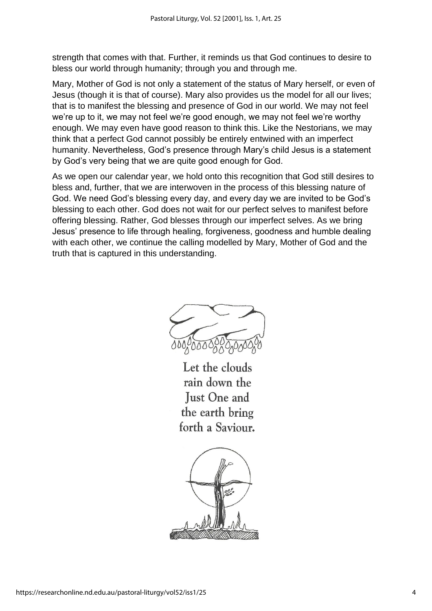strength that comes with that. Further, it reminds us that God continues to desire to bless our world through humanity; through you and through me.

Mary, Mother of God is not only a statement of the status of Mary herself, or even of Jesus (though it is that of course). Mary also provides us the model for all our lives; that is to manifest the blessing and presence of God in our world. We may not feel we're up to it, we may not feel we're good enough, we may not feel we're worthy enough. We may even have good reason to think this. Like the Nestorians, we may think that a perfect God cannot possibly be entirely entwined with an imperfect humanity. Nevertheless, God's presence through Mary's child Jesus is a statement by God's very being that we are quite good enough for God.

As we open our calendar year, we hold onto this recognition that God still desires to bless and, further, that we are interwoven in the process of this blessing nature of God. We need God's blessing every day, and every day we are invited to be God's blessing to each other. God does not wait for our perfect selves to manifest before offering blessing. Rather, God blesses through our imperfect selves. As we bring Jesus' presence to life through healing, forgiveness, goodness and humble dealing with each other, we continue the calling modelled by Mary, Mother of God and the truth that is captured in this understanding.

Let the clouds rain down the **Just One and** the earth bring forth a Saviour.

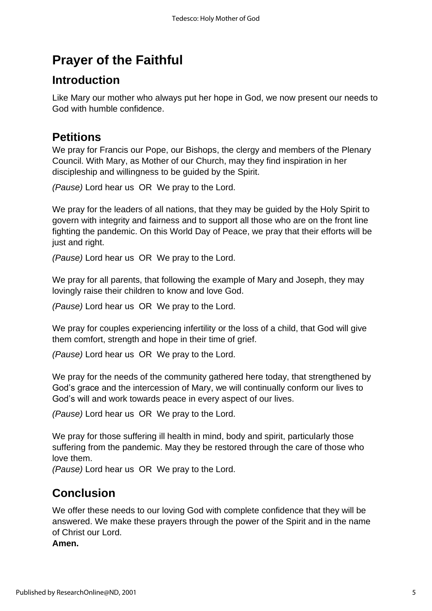## **Prayer of the Faithful**

### **Introduction**

Like Mary our mother who always put her hope in God, we now present our needs to God with humble confidence.

### **Petitions**

We pray for Francis our Pope, our Bishops, the clergy and members of the Plenary Council. With Mary, as Mother of our Church, may they find inspiration in her discipleship and willingness to be guided by the Spirit.

*(Pause)* Lord hear us OR We pray to the Lord.

We pray for the leaders of all nations, that they may be guided by the Holy Spirit to govern with integrity and fairness and to support all those who are on the front line fighting the pandemic. On this World Day of Peace, we pray that their efforts will be just and right.

*(Pause)* Lord hear us OR We pray to the Lord.

We pray for all parents, that following the example of Mary and Joseph, they may lovingly raise their children to know and love God.

*(Pause)* Lord hear us OR We pray to the Lord.

We pray for couples experiencing infertility or the loss of a child, that God will give them comfort, strength and hope in their time of grief.

*(Pause)* Lord hear us OR We pray to the Lord.

We pray for the needs of the community gathered here today, that strengthened by God's grace and the intercession of Mary, we will continually conform our lives to God's will and work towards peace in every aspect of our lives.

*(Pause)* Lord hear us OR We pray to the Lord.

We pray for those suffering ill health in mind, body and spirit, particularly those suffering from the pandemic. May they be restored through the care of those who love them.

*(Pause)* Lord hear us OR We pray to the Lord.

### **Conclusion**

We offer these needs to our loving God with complete confidence that they will be answered. We make these prayers through the power of the Spirit and in the name of Christ our Lord.

**Amen.**